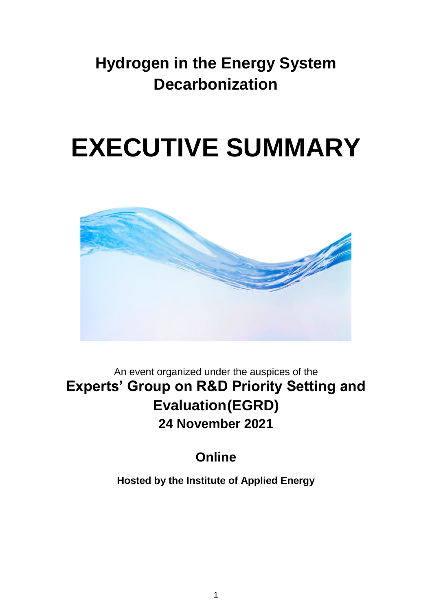## **Hydrogen in the Energy System Decarbonization**

# **EXECUTIVE SUMMARY**



An event organized under the auspices of the **Experts' Group on R&D Priority Setting and Evaluation(EGRD) 24 November 2021**

## **Online**

**Hosted by the Institute of Applied Energy**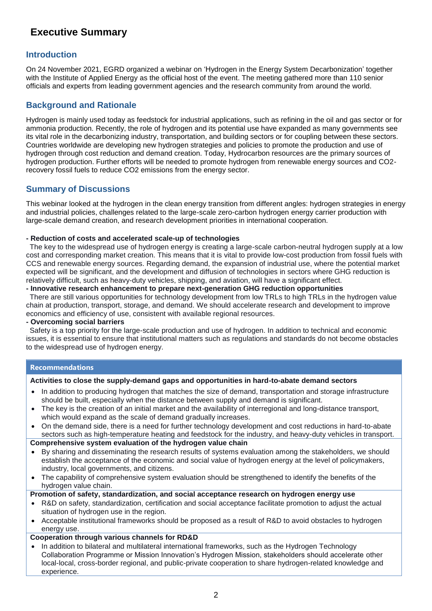### **Executive Summary**

#### **Introduction**

On 24 November 2021, EGRD organized a webinar on 'Hydrogen in the Energy System Decarbonization' together with the Institute of Applied Energy as the official host of the event. The meeting gathered more than 110 senior officials and experts from leading government agencies and the research community from around the world.

#### **Background and Rationale**

Hydrogen is mainly used today as feedstock for industrial applications, such as refining in the oil and gas sector or for ammonia production. Recently, the role of hydrogen and its potential use have expanded as many governments see its vital role in the decarbonizing industry, transportation, and building sectors or for coupling between these sectors. Countries worldwide are developing new hydrogen strategies and policies to promote the production and use of hydrogen through cost reduction and demand creation. Today, Hydrocarbon resources are the primary sources of hydrogen production. Further efforts will be needed to promote hydrogen from renewable energy sources and CO2 recovery fossil fuels to reduce CO2 emissions from the energy sector.

#### **Summary of Discussions**

This webinar looked at the hydrogen in the clean energy transition from different angles: hydrogen strategies in energy and industrial policies, challenges related to the large-scale zero-carbon hydrogen energy carrier production with large-scale demand creation, and research development priorities in international cooperation.

#### **- Reduction of costs and accelerated scale-up of technologies**

The key to the widespread use of hydrogen energy is creating a large-scale carbon-neutral hydrogen supply at a low cost and corresponding market creation. This means that it is vital to provide low-cost production from fossil fuels with CCS and renewable energy sources. Regarding demand, the expansion of industrial use, where the potential market expected will be significant, and the development and diffusion of technologies in sectors where GHG reduction is relatively difficult, such as heavy-duty vehicles, shipping, and aviation, will have a significant effect.

#### **- Innovative research enhancement to prepare next-generation GHG reduction opportunities**

There are still various opportunities for technology development from low TRLs to high TRLs in the hydrogen value chain at production, transport, storage, and demand. We should accelerate research and development to improve economics and efficiency of use, consistent with available regional resources.

#### **- Overcoming social barriers**

Safety is a top priority for the large-scale production and use of hydrogen. In addition to technical and economic issues, it is essential to ensure that institutional matters such as regulations and standards do not become obstacles to the widespread use of hydrogen energy.

#### **Recommendations**

#### **Activities to close the supply-demand gaps and opportunities in hard-to-abate demand sectors**

- In addition to producing hydrogen that matches the size of demand, transportation and storage infrastructure should be built, especially when the distance between supply and demand is significant.
- The key is the creation of an initial market and the availability of interregional and long-distance transport, which would expand as the scale of demand gradually increases.
- On the demand side, there is a need for further technology development and cost reductions in hard-to-abate sectors such as high-temperature heating and feedstock for the industry, and heavy-duty vehicles in transport.

#### **Comprehensive system evaluation of the hydrogen value chain**

- By sharing and disseminating the research results of systems evaluation among the stakeholders, we should establish the acceptance of the economic and social value of hydrogen energy at the level of policymakers, industry, local governments, and citizens.
- The capability of comprehensive system evaluation should be strengthened to identify the benefits of the hydrogen value chain.

**Promotion of safety, standardization, and social acceptance research on hydrogen energy use**

- R&D on safety, standardization, certification and social acceptance facilitate promotion to adjust the actual situation of hydrogen use in the region.
- Acceptable institutional frameworks should be proposed as a result of R&D to avoid obstacles to hydrogen energy use.

#### **Cooperation through various channels for RD&D**

• In addition to bilateral and multilateral international frameworks, such as the Hydrogen Technology Collaboration Programme or Mission Innovation's Hydrogen Mission, stakeholders should accelerate other local-local, cross-border regional, and public-private cooperation to share hydrogen-related knowledge and experience.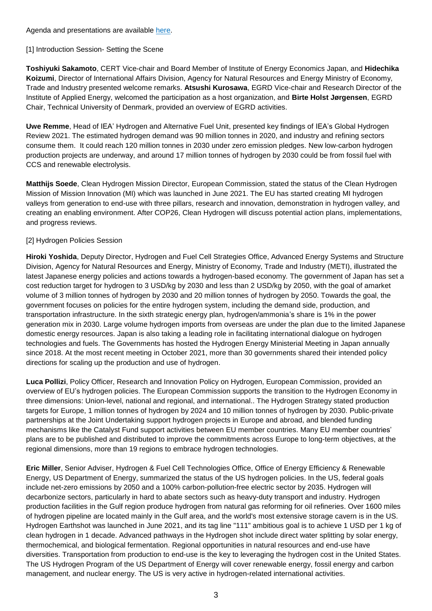Agenda and presentations are available [here.](about:blank)

#### [1] Introduction Session- Setting the Scene

**Toshiyuki Sakamoto**, CERT Vice-chair and Board Member of Institute of Energy Economics Japan, and **Hidechika Koizumi**, Director of International Affairs Division, Agency for Natural Resources and Energy Ministry of Economy, Trade and Industry presented welcome remarks. **Atsushi Kurosawa**, EGRD Vice-chair and Research Director of the Institute of Applied Energy, welcomed the participation as a host organization, and **Birte Holst Jørgensen**, EGRD Chair, Technical University of Denmark, provided an overview of EGRD activities.

**Uwe Remme**, Head of IEA' Hydrogen and Alternative Fuel Unit, presented key findings of IEA's Global Hydrogen Review 2021. The estimated hydrogen demand was 90 million tonnes in 2020, and industry and refining sectors consume them. It could reach 120 million tonnes in 2030 under zero emission pledges. New low-carbon hydrogen production projects are underway, and around 17 million tonnes of hydrogen by 2030 could be from fossil fuel with CCS and renewable electrolysis.

**Matthijs Soede**, Clean Hydrogen Mission Director, European Commission, stated the status of the Clean Hydrogen Mission of Mission Innovation (MI) which was launched in June 2021. The EU has started creating MI hydrogen valleys from generation to end-use with three pillars, research and innovation, demonstration in hydrogen valley, and creating an enabling environment. After COP26, Clean Hydrogen will discuss potential action plans, implementations, and progress reviews.

#### [2] Hydrogen Policies Session

**Hiroki Yoshida**, Deputy Director, Hydrogen and Fuel Cell Strategies Office, Advanced Energy Systems and Structure Division, Agency for Natural Resources and Energy, Ministry of Economy, Trade and Industry (METI), illustrated the latest Japanese energy policies and actions towards a hydrogen-based economy. The government of Japan has set a cost reduction target for hydrogen to 3 USD/kg by 2030 and less than 2 USD/kg by 2050, with the goal of amarket volume of 3 million tonnes of hydrogen by 2030 and 20 million tonnes of hydrogen by 2050. Towards the goal, the government focuses on policies for the entire hydrogen system, including the demand side, production, and transportation infrastructure. In the sixth strategic energy plan, hydrogen/ammonia's share is 1% in the power generation mix in 2030. Large volume hydrogen imports from overseas are under the plan due to the limited Japanese domestic energy resources. Japan is also taking a leading role in facilitating international dialogue on hydrogen technologies and fuels. The Governments has hosted the Hydrogen Energy Ministerial Meeting in Japan annually since 2018. At the most recent meeting in October 2021, more than 30 governments shared their intended policy directions for scaling up the production and use of hydrogen.

**Luca Pollizi**, Policy Officer, Research and Innovation Policy on Hydrogen, European Commission, provided an overview of EU's hydrogen policies. The European Commission supports the transition to the Hydrogen Economy in three dimensions: Union-level, national and regional, and international.. The Hydrogen Strategy stated production targets for Europe, 1 million tonnes of hydrogen by 2024 and 10 million tonnes of hydrogen by 2030. Public-private partnerships at the Joint Undertaking support hydrogen projects in Europe and abroad, and blended funding mechanisms like the Catalyst Fund support activities between EU member countries. Many EU member countries' plans are to be published and distributed to improve the commitments across Europe to long-term objectives, at the regional dimensions, more than 19 regions to embrace hydrogen technologies.

**Eric Miller**, Senior Adviser, Hydrogen & Fuel Cell Technologies Office, Office of Energy Efficiency & Renewable Energy, US Department of Energy, summarized the status of the US hydrogen policies. In the US, federal goals include net-zero emissions by 2050 and a 100% carbon-pollution-free electric sector by 2035. Hydrogen will decarbonize sectors, particularly in hard to abate sectors such as heavy-duty transport and industry. Hydrogen production facilities in the Gulf region produce hydrogen from natural gas reforming for oil refineries. Over 1600 miles of hydrogen pipeline are located mainly in the Gulf area, and the world's most extensive storage cavern is in the US. Hydrogen Earthshot was launched in June 2021, and its tag line "111" ambitious goal is to achieve 1 USD per 1 kg of clean hydrogen in 1 decade. Advanced pathways in the Hydrogen shot include direct water splitting by solar energy, thermochemical, and biological fermentation. Regional opportunities in natural resources and end-use have diversities. Transportation from production to end-use is the key to leveraging the hydrogen cost in the United States. The US Hydrogen Program of the US Department of Energy will cover renewable energy, fossil energy and carbon management, and nuclear energy. The US is very active in hydrogen-related international activities.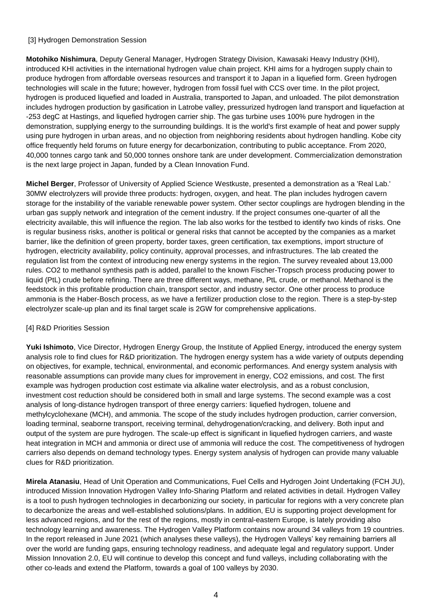#### [3] Hydrogen Demonstration Session

**Motohiko Nishimura**, Deputy General Manager, Hydrogen Strategy Division, Kawasaki Heavy Industry (KHI), introduced KHI activities in the international hydrogen value chain project. KHI aims for a hydrogen supply chain to produce hydrogen from affordable overseas resources and transport it to Japan in a liquefied form. Green hydrogen technologies will scale in the future; however, hydrogen from fossil fuel with CCS over time. In the pilot project, hydrogen is produced liquefied and loaded in Australia, transported to Japan, and unloaded. The pilot demonstration includes hydrogen production by gasification in Latrobe valley, pressurized hydrogen land transport and liquefaction at -253 degC at Hastings, and liquefied hydrogen carrier ship. The gas turbine uses 100% pure hydrogen in the demonstration, supplying energy to the surrounding buildings. It is the world's first example of heat and power supply using pure hydrogen in urban areas, and no objection from neighboring residents about hydrogen handling. Kobe city office frequently held forums on future energy for decarbonization, contributing to public acceptance. From 2020, 40,000 tonnes cargo tank and 50,000 tonnes onshore tank are under development. Commercialization demonstration is the next large project in Japan, funded by a Clean Innovation Fund.

**Michel Berger**, Professor of University of Applied Science Westkuste, presented a demonstration as a 'Real Lab.' 30MW electrolyzers will provide three products: hydrogen, oxygen, and heat. The plan includes hydrogen cavern storage for the instability of the variable renewable power system. Other sector couplings are hydrogen blending in the urban gas supply network and integration of the cement industry. If the project consumes one-quarter of all the electricity available, this will influence the region. The lab also works for the testbed to identify two kinds of risks. One is regular business risks, another is political or general risks that cannot be accepted by the companies as a market barrier, like the definition of green property, border taxes, green certification, tax exemptions, import structure of hydrogen, electricity availability, policy continuity, approval processes, and infrastructures. The lab created the regulation list from the context of introducing new energy systems in the region. The survey revealed about 13,000 rules. CO2 to methanol synthesis path is added, parallel to the known Fischer-Tropsch process producing power to liquid (PtL) crude before refining. There are three different ways, methane, PtL crude, or methanol. Methanol is the feedstock in this profitable production chain, transport sector, and industry sector. One other process to produce ammonia is the Haber-Bosch process, as we have a fertilizer production close to the region. There is a step-by-step electrolyzer scale-up plan and its final target scale is 2GW for comprehensive applications.

#### [4] R&D Priorities Session

**Yuki Ishimoto**, Vice Director, Hydrogen Energy Group, the Institute of Applied Energy, introduced the energy system analysis role to find clues for R&D prioritization. The hydrogen energy system has a wide variety of outputs depending on objectives, for example, technical, environmental, and economic performances. And energy system analysis with reasonable assumptions can provide many clues for improvement in energy, CO2 emissions, and cost. The first example was hydrogen production cost estimate via alkaline water electrolysis, and as a robust conclusion, investment cost reduction should be considered both in small and large systems. The second example was a cost analysis of long-distance hydrogen transport of three energy carriers: liquefied hydrogen, toluene and methylcyclohexane (MCH), and ammonia. The scope of the study includes hydrogen production, carrier conversion, loading terminal, seaborne transport, receiving terminal, dehydrogenation/cracking, and delivery. Both input and output of the system are pure hydrogen. The scale-up effect is significant in liquefied hydrogen carriers, and waste heat integration in MCH and ammonia or direct use of ammonia will reduce the cost. The competitiveness of hydrogen carriers also depends on demand technology types. Energy system analysis of hydrogen can provide many valuable clues for R&D prioritization.

**Mirela Atanasiu**, Head of Unit Operation and Communications, Fuel Cells and Hydrogen Joint Undertaking (FCH JU), introduced Mission Innovation Hydrogen Valley Info-Sharing Platform and related activities in detail. Hydrogen Valley is a tool to push hydrogen technologies in decarbonizing our society, in particular for regions with a very concrete plan to decarbonize the areas and well-established solutions/plans. In addition, EU is supporting project development for less advanced regions, and for the rest of the regions, mostly in central-eastern Europe, is lately providing also technology learning and awareness. The Hydrogen Valley Platform contains now around 34 valleys from 19 countries. In the report released in June 2021 (which analyses these valleys), the Hydrogen Valleys' key remaining barriers all over the world are funding gaps, ensuring technology readiness, and adequate legal and regulatory support. Under Mission Innovation 2.0, EU will continue to develop this concept and fund valleys, including collaborating with the other co-leads and extend the Platform, towards a goal of 100 valleys by 2030.